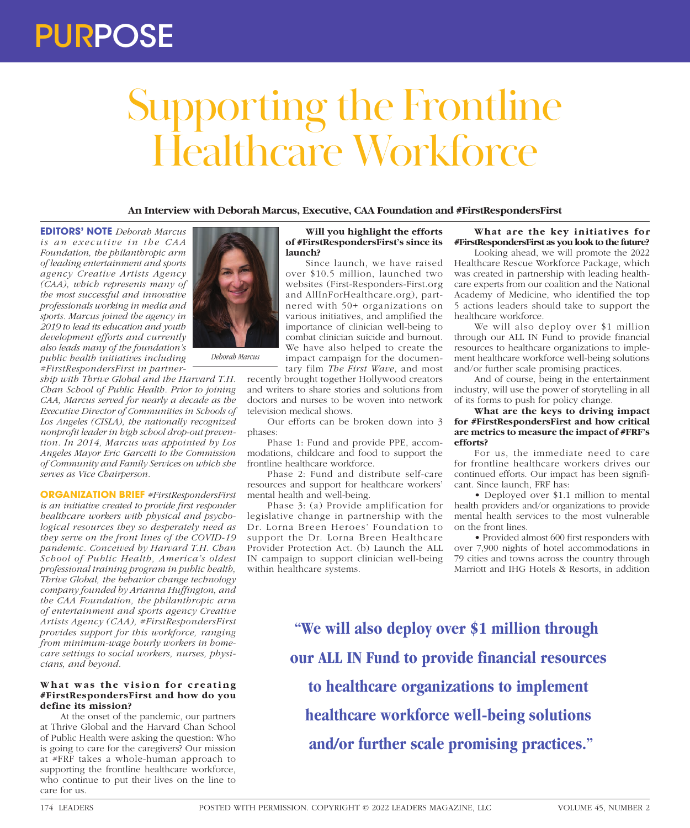## PURPOSE

# Supporting the Frontline Healthcare Workforce

**An Interview with Deborah Marcus, Executive, CAA Foundation and #FirstRespondersFirst**

**EDITORS' NOTE** *Deborah Marcus is an executive in the CAA Foundation, the philanthropic arm of leading entertainment and sports agency Creative Artists Agency (CAA), which represents many of the most successful and innovative professionals working in media and sports. Marcus joined the agency in 2019 to lead its education and youth development efforts and currently also leads many of the foundation's public health initiatives including #FirstRespondersFirst in partner-*

*ship with Thrive Global and the Harvard T.H. Chan School of Public Health. Prior to joining CAA, Marcus served for nearly a decade as the Executive Director of Communities in Schools of Los Angeles (CISLA), the nationally recognized nonprofit leader in high school drop-out prevention. In 2014, Marcus was appointed by Los Angeles Mayor Eric Garcetti to the Commission of Community and Family Services on which she serves as Vice Chairperson.*

*Deborah Marcus*

**ORGANIZATION BRIEF** *#FirstRespondersFirst is an initiative created to provide first responder healthcare workers with physical and psychological resources they so desperately need as they serve on the front lines of the COVID-19 pandemic. Conceived by Harvard T.H. Chan School of Public Health, America's oldest professional training program in public health, Thrive Global, the behavior change technology company founded by Arianna Huffington, and the CAA Foundation, the philanthropic arm of entertainment and sports agency Creative Artists Agency (CAA), #FirstRespondersFirst provides support for this workforce, ranging from minimum-wage hourly workers in homecare settings to social workers, nurses, physicians, and beyond.*

### What was the vision for creating **#FirstRespondersFirst and how do you define its mission?**

At the onset of the pandemic, our partners at Thrive Global and the Harvard Chan School of Public Health were asking the question: Who is going to care for the caregivers? Our mission at #FRF takes a whole-human approach to supporting the frontline healthcare workforce, who continue to put their lives on the line to care for us.

### **Will you highlight the efforts of #FirstRespondersFirst's since its launch?**

Since launch, we have raised over \$10.5 million, launched two websites (First-Responders-First.org and AllInForHealthcare.org), partnered with 50+ organizations on various initiatives, and amplified the importance of clinician well-being to combat clinician suicide and burnout. We have also helped to create the impact campaign for the documen-

tary film *The First Wave*, and most recently brought together Hollywood creators and writers to share stories and solutions from doctors and nurses to be woven into network television medical shows.

Our efforts can be broken down into 3 phases:

Phase 1: Fund and provide PPE, accommodations, childcare and food to support the frontline healthcare workforce.

Phase 2: Fund and distribute self-care resources and support for healthcare workers' mental health and well-being.

Phase 3: (a) Provide amplification for legislative change in partnership with the Dr. Lorna Breen Heroes' Foundation to support the Dr. Lorna Breen Healthcare Provider Protection Act. (b) Launch the ALL IN campaign to support clinician well-being within healthcare systems.

**What are the key initiatives for #FirstRespondersFirst as you look to the future?**

Looking ahead, we will promote the 2022 Healthcare Rescue Workforce Package, which was created in partnership with leading healthcare experts from our coalition and the National Academy of Medicine, who identified the top 5 actions leaders should take to support the healthcare workforce.

We will also deploy over \$1 million through our ALL IN Fund to provide financial resources to healthcare organizations to implement healthcare workforce well-being solutions and/or further scale promising practices.

And of course, being in the entertainment industry, will use the power of storytelling in all of its forms to push for policy change.

#### **What are the keys to driving impact for #FirstRespondersFirst and how critical are metrics to measure the impact of #FRF's efforts?**

For us, the immediate need to care for frontline healthcare workers drives our continued efforts. Our impact has been significant. Since launch, FRF has:

• Deployed over \$1.1 million to mental health providers and/or organizations to provide mental health services to the most vulnerable on the front lines.

• Provided almost 600 first responders with over 7,900 nights of hotel accommodations in 79 cities and towns across the country through Marriott and IHG Hotels & Resorts, in addition

**"We will also deploy over \$1 million through our ALL IN Fund to provide financial resources to healthcare organizations to implement healthcare workforce well-being solutions and/or further scale promising practices."**